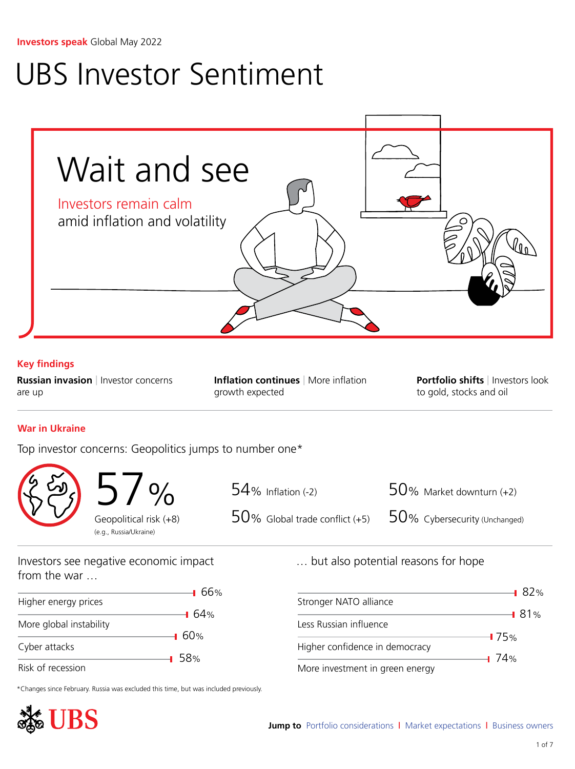# <span id="page-0-0"></span>UBS Investor Sentiment



Risk of recession

\*Changes since February. Russia was excluded this time, but was included previously.



More investment in green energy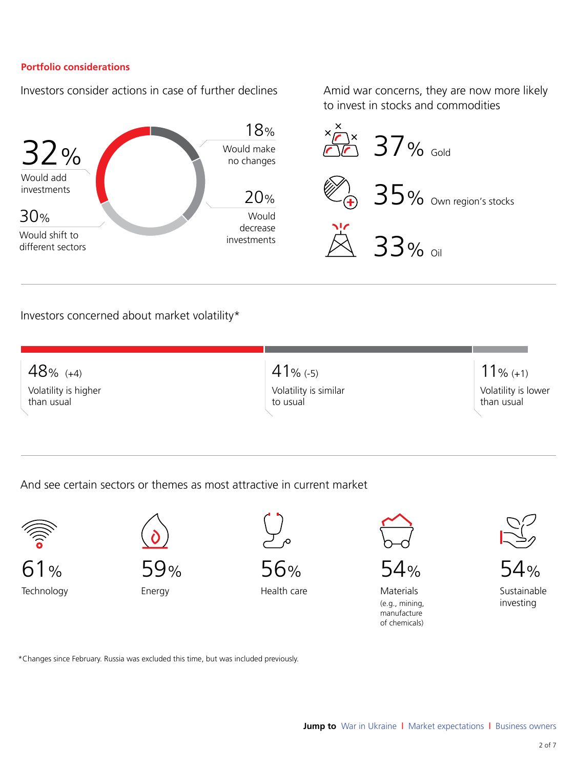## <span id="page-1-0"></span>**Portfolio considerations**

Investors consider actions in case of further declines

Amid war concerns, they are now more likely to invest in stocks and commodities



## Investors concerned about market volatility\*

48% (+4) Volatility is higher than usual 41% (-5) Volatility is similar to usual 11% (+1) Volatility is lower than usual

And see certain sectors or themes as most attractive in current market



61% Technology



Energy



56%

Health care



 $54%$ 

Materials (e.g., mining, manufacture of chemicals)



54% Sustainable investing

\*Changes since February. Russia was excluded this time, but was included previously.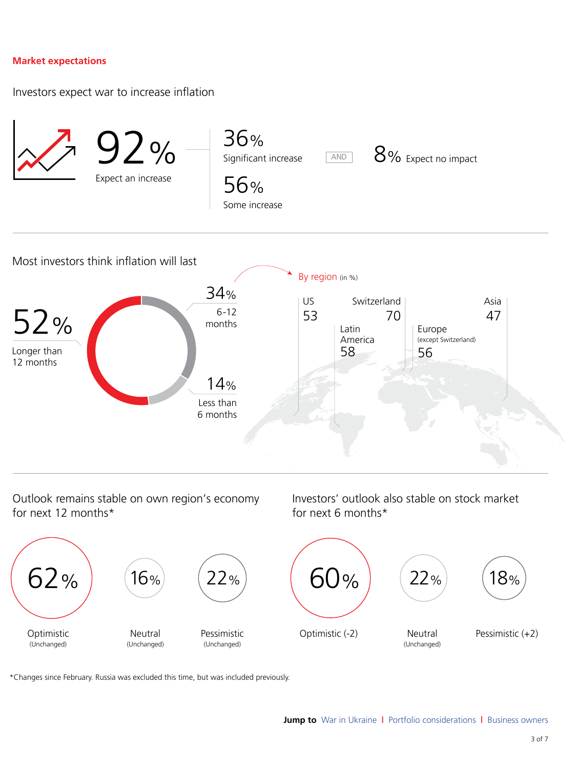### <span id="page-2-0"></span>**Market expectations**

Investors expect war to increase inflation



Outlook remains stable on own region's economy for next 12 months\*

Investors' outlook also stable on stock market for next 6 months\*



\*Changes since February. Russia was excluded this time, but was included previously.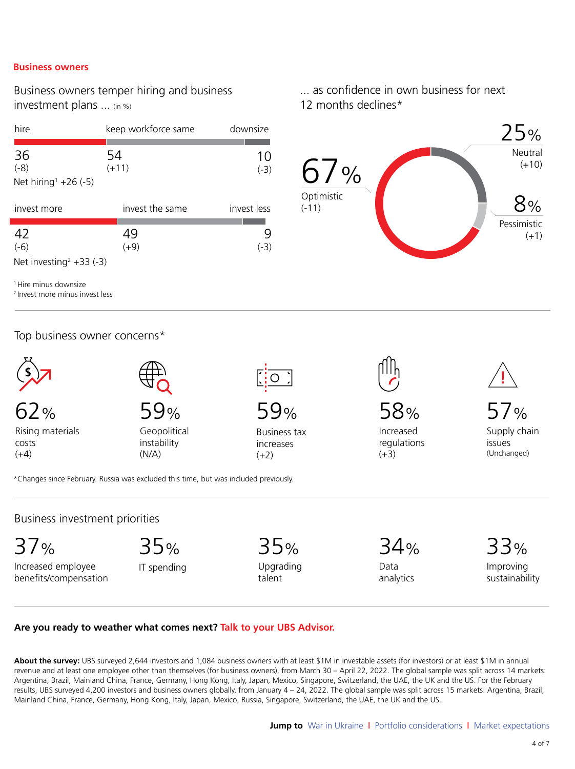#### <span id="page-3-0"></span>**Business owners**

Business owners temper hiring and business investment plans ... (in %)

| hire                                                  | keep workforce same | downsize     |                                    |
|-------------------------------------------------------|---------------------|--------------|------------------------------------|
| 36<br>$(-8)$<br>Net hiring <sup>1</sup> +26 $(-5)$    | 54<br>$(+11)$       | 10<br>$(-3)$ | $\frac{0}{0}$<br>0 /<br>Optimistic |
| invest more                                           | invest the same     | invest less  | $(-11)$                            |
| 42<br>$(-6)$<br>Net investing <sup>2</sup> +33 $(-3)$ | 49<br>$(+9)$        | $(-3)$       |                                    |

<sup>1</sup> Hire minus downsize

<sup>2</sup> Invest more minus invest less

## Top business owner concerns\*



62%

Rising materials costs  $(+4)$ 



Geopolitical instability (N/A)

59%

Business tax increases  $(+2)$ 

... as confidence in own business for next 12 months declines\*



58% Increased regulations  $(+3)$ 

57% Supply chain issues (Unchanged)

\*Changes since February. Russia was excluded this time, but was included previously.

Business investment priorities

37%

Increased employee benefits/compensation

35% IT spending

35% Upgrading talent

34% Data

analytics

33% Improving sustainability

#### **Are you ready to weather what comes next? Talk to your UBS Advisor.**

About the survey: UBS surveyed 2,644 investors and 1,084 business owners with at least \$1M in investable assets (for investors) or at least \$1M in annual revenue and at least one employee other than themselves (for business owners), from March 30 – April 22, 2022. The global sample was split across 14 markets: Argentina, Brazil, Mainland China, France, Germany, Hong Kong, Italy, Japan, Mexico, Singapore, Switzerland, the UAE, the UK and the US. For the February results, UBS surveyed 4,200 investors and business owners globally, from January 4 – 24, 2022. The global sample was split across 15 markets: Argentina, Brazil, Mainland China, France, Germany, Hong Kong, Italy, Japan, Mexico, Russia, Singapore, Switzerland, the UAE, the UK and the US.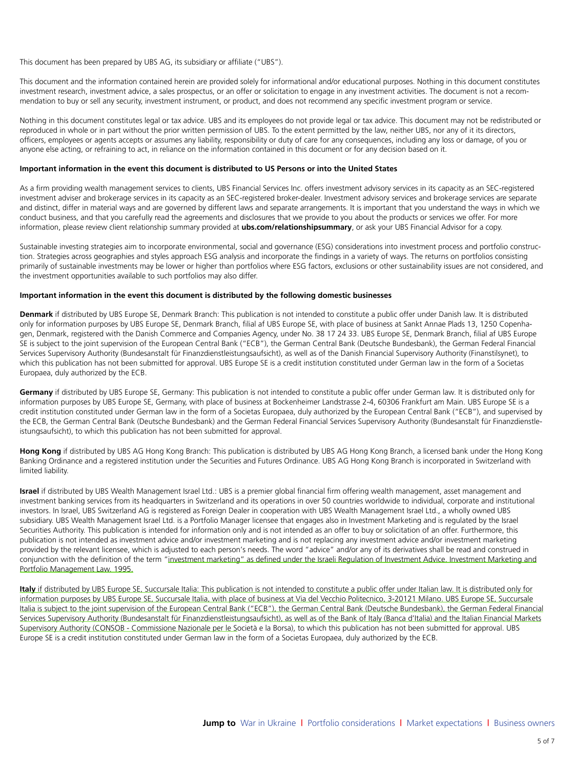This document has been prepared by UBS AG, its subsidiary or affiliate ("UBS").

This document and the information contained herein are provided solely for informational and/or educational purposes. Nothing in this document constitutes investment research, investment advice, a sales prospectus, or an offer or solicitation to engage in any investment activities. The document is not a recommendation to buy or sell any security, investment instrument, or product, and does not recommend any specific investment program or service.

Nothing in this document constitutes legal or tax advice. UBS and its employees do not provide legal or tax advice. This document may not be redistributed or reproduced in whole or in part without the prior written permission of UBS. To the extent permitted by the law, neither UBS, nor any of it its directors, officers, employees or agents accepts or assumes any liability, responsibility or duty of care for any consequences, including any loss or damage, of you or anyone else acting, or refraining to act, in reliance on the information contained in this document or for any decision based on it.

#### **Important information in the event this document is distributed to US Persons or into the United States**

As a firm providing wealth management services to clients, UBS Financial Services Inc. offers investment advisory services in its capacity as an SEC-registered investment adviser and brokerage services in its capacity as an SEC-registered broker-dealer. Investment advisory services and brokerage services are separate and distinct, differ in material ways and are governed by different laws and separate arrangements. It is important that you understand the ways in which we conduct business, and that you carefully read the agreements and disclosures that we provide to you about the products or services we offer. For more information, please review client relationship summary provided at **ubs.com/relationshipsummary**, or ask your UBS Financial Advisor for a copy.

Sustainable investing strategies aim to incorporate environmental, social and governance (ESG) considerations into investment process and portfolio construction. Strategies across geographies and styles approach ESG analysis and incorporate the findings in a variety of ways. The returns on portfolios consisting primarily of sustainable investments may be lower or higher than portfolios where ESG factors, exclusions or other sustainability issues are not considered, and the investment opportunities available to such portfolios may also differ.

#### **Important information in the event this document is distributed by the following domestic businesses**

**Denmark** if distributed by UBS Europe SE, Denmark Branch: This publication is not intended to constitute a public offer under Danish law. It is distributed only for information purposes by UBS Europe SE, Denmark Branch, filial af UBS Europe SE, with place of business at Sankt Annae Plads 13, 1250 Copenhagen, Denmark, registered with the Danish Commerce and Companies Agency, under No. 38 17 24 33. UBS Europe SE, Denmark Branch, filial af UBS Europe SE is subject to the joint supervision of the European Central Bank ("ECB"), the German Central Bank (Deutsche Bundesbank), the German Federal Financial Services Supervisory Authority (Bundesanstalt für Finanzdienstleistungsaufsicht), as well as of the Danish Financial Supervisory Authority (Finanstilsynet), to which this publication has not been submitted for approval. UBS Europe SE is a credit institution constituted under German law in the form of a Societas Europaea, duly authorized by the ECB.

**Germany** if distributed by UBS Europe SE, Germany: This publication is not intended to constitute a public offer under German law. It is distributed only for information purposes by UBS Europe SE, Germany, with place of business at Bockenheimer Landstrasse 2-4, 60306 Frankfurt am Main. UBS Europe SE is a credit institution constituted under German law in the form of a Societas Europaea, duly authorized by the European Central Bank ("ECB"), and supervised by the ECB, the German Central Bank (Deutsche Bundesbank) and the German Federal Financial Services Supervisory Authority (Bundesanstalt für Finanzdienstleistungsaufsicht), to which this publication has not been submitted for approval.

**Hong Kong** if distributed by UBS AG Hong Kong Branch: This publication is distributed by UBS AG Hong Kong Branch, a licensed bank under the Hong Kong Banking Ordinance and a registered institution under the Securities and Futures Ordinance. UBS AG Hong Kong Branch is incorporated in Switzerland with limited liability.

**Israel** if distributed by UBS Wealth Management Israel Ltd.: UBS is a premier global financial firm offering wealth management, asset management and investment banking services from its headquarters in Switzerland and its operations in over 50 countries worldwide to individual, corporate and institutional investors. In Israel, UBS Switzerland AG is registered as Foreign Dealer in cooperation with UBS Wealth Management Israel Ltd., a wholly owned UBS subsidiary. UBS Wealth Management Israel Ltd. is a Portfolio Manager licensee that engages also in Investment Marketing and is regulated by the Israel Securities Authority. This publication is intended for information only and is not intended as an offer to buy or solicitation of an offer. Furthermore, this publication is not intended as investment advice and/or investment marketing and is not replacing any investment advice and/or investment marketing provided by the relevant licensee, w[hich is adjusted to e](#page-0-0)ach person's needs. The word "advice" and/or any of its derivatives shall be read and construed in conjunction with the definition of the term "investment marketing" as defined under the Israeli Regulation of Investment Advice, Investment Marketing and Portfolio Management Law, 1995.

**Italy** if distributed by UBS Europe SE, Succursale Italia: This publication is not intended to constitute a public offer under Italian law. It is distributed only for information purposes by UBS Europe SE, Succursale Italia, with place of business at Via del Vecchio Politecnico, 3-20121 Milano. UBS Europe SE, Succursale Italia is subject to the joint supervision of the European Central Bank ("ECB"), the German Central Bank (Deutsche Bundesbank), the German Federal Financial Services Supervisory Authority (Bundesanstalt für Finanzdienstleistungsaufsicht), as well as of the Bank of Italy (Banca d'Italia) and the Italian Financial Markets Supervisory Authority (CONSOB - Commissione Nazionale per le Società e la Borsa), to which this publication has not been submitted for approval. UBS Europe SE is a credit institution constituted under German law in the form of a Societas Europaea, duly authorized by the ECB.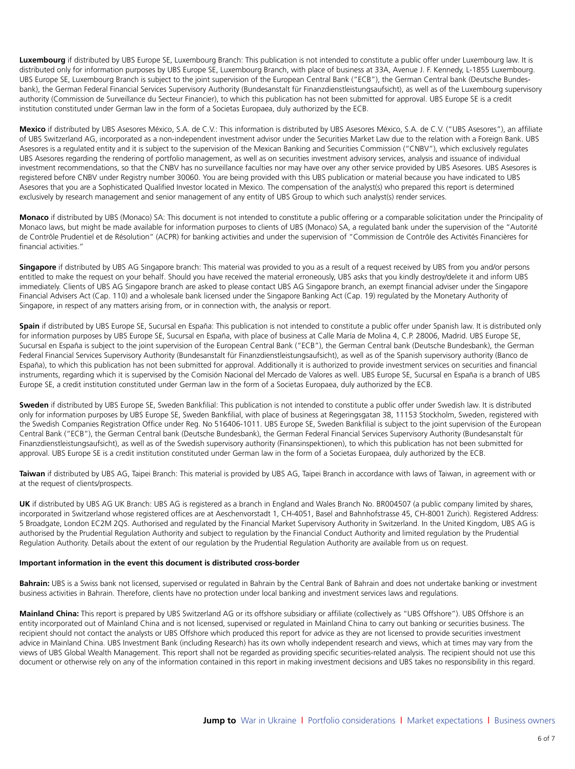**Luxembourg** if distributed by UBS Europe SE, Luxembourg Branch: This publication is not intended to constitute a public offer under Luxembourg law. It is distributed only for information purposes by UBS Europe SE, Luxembourg Branch, with place of business at 33A, Avenue J. F. Kennedy, L-1855 Luxembourg. UBS Europe SE, Luxembourg Branch is subject to the joint supervision of the European Central Bank ("ECB"), the German Central bank (Deutsche Bundesbank), the German Federal Financial Services Supervisory Authority (Bundesanstalt für Finanzdienstleistungsaufsicht), as well as of the Luxembourg supervisory authority (Commission de Surveillance du Secteur Financier), to which this publication has not been submitted for approval. UBS Europe SE is a credit institution constituted under German law in the form of a Societas Europaea, duly authorized by the ECB.

**Mexico** if distributed by UBS Asesores México, S.A. de C.V.: This information is distributed by UBS Asesores México, S.A. de C.V. ("UBS Asesores"), an affiliate of UBS Switzerland AG, incorporated as a non-independent investment advisor under the Securities Market Law due to the relation with a Foreign Bank. UBS Asesores is a regulated entity and it is subject to the supervision of the Mexican Banking and Securities Commission ("CNBV"), which exclusively regulates UBS Asesores regarding the rendering of portfolio management, as well as on securities investment advisory services, analysis and issuance of individual investment recommendations, so that the CNBV has no surveillance faculties nor may have over any other service provided by UBS Asesores. UBS Asesores is registered before CNBV under Registry number 30060. You are being provided with this UBS publication or material because you have indicated to UBS Asesores that you are a Sophisticated Qualified Investor located in Mexico. The compensation of the analyst(s) who prepared this report is determined exclusively by research management and senior management of any entity of UBS Group to which such analyst(s) render services.

**Monaco** if distributed by UBS (Monaco) SA: This document is not intended to constitute a public offering or a comparable solicitation under the Principality of Monaco laws, but might be made available for information purposes to clients of UBS (Monaco) SA, a regulated bank under the supervision of the "Autorité de Contrôle Prudentiel et de Résolution" (ACPR) for banking activities and under the supervision of "Commission de Contrôle des Activités Financières for financial activities."

**Singapore** if distributed by UBS AG Singapore branch: This material was provided to you as a result of a request received by UBS from you and/or persons entitled to make the request on your behalf. Should you have received the material erroneously, UBS asks that you kindly destroy/delete it and inform UBS immediately. Clients of UBS AG Singapore branch are asked to please contact UBS AG Singapore branch, an exempt financial adviser under the Singapore Financial Advisers Act (Cap. 110) and a wholesale bank licensed under the Singapore Banking Act (Cap. 19) regulated by the Monetary Authority of Singapore, in respect of any matters arising from, or in connection with, the analysis or report.

**Spain** if distributed by UBS Europe SE, Sucursal en España: This publication is not intended to constitute a public offer under Spanish law. It is distributed only for information purposes by UBS Europe SE, Sucursal en España, with place of business at Calle María de Molina 4, C.P. 28006, Madrid. UBS Europe SE, Sucursal en España is subject to the joint supervision of the European Central Bank ("ECB"), the German Central bank (Deutsche Bundesbank), the German Federal Financial Services Supervisory Authority (Bundesanstalt für Finanzdienstleistungsaufsicht), as well as of the Spanish supervisory authority (Banco de España), to which this publication has not been submitted for approval. Additionally it is authorized to provide investment services on securities and financial instruments, regarding which it is supervised by the Comisión Nacional del Mercado de Valores as well. UBS Europe SE, Sucursal en España is a branch of UBS Europe SE, a credit institution constituted under German law in the form of a Societas Europaea, duly authorized by the ECB.

**Sweden** if distributed by UBS Europe SE, Sweden Bankfilial: This publication is not intended to constitute a public offer under Swedish law. It is distributed only for information purposes by UBS Europe SE, Sweden Bankfilial, with place of business at Regeringsgatan 38, 11153 Stockholm, Sweden, registered with the Swedish Companies Registration Office under Reg. No 516406-1011. UBS Europe SE, Sweden Bankfilial is subject to the joint supervision of the European Central Bank ("ECB"), the German Central bank (Deutsche Bundesbank), the German Federal Financial Services Supervisory Authority (Bundesanstalt für Finanzdienstleistungsaufsicht), as well as of the Swedish supervisory authority (Finansinspektionen), to which this publication has not been submitted for approval. UBS Europe SE is a credit institution constituted under German law in the form of a Societas Europaea, duly authorized by the ECB.

**Taiwan** if distributed by UBS AG, Taipei Branch: This material is provided by UBS AG, Taipei Branch in accordance with laws of Taiwan, in agreement with or at the request of clients/prospects.

**UK** if distributed by UBS AG UK Branch: UBS AG is registered as a branch in England and Wales Branch No. BR004507 (a public company limited by shares, incorporated in Switzerland whose registered offices are at Aeschenvorstadt 1, CH-4051, Basel and Bahnhofstrasse 45, CH-8001 Zurich). Registered Address: 5 Broadgate, London EC2M 2QS. Authorised and regulated by the Financial Market Supervisory Authority in Switzerland. In the United Kingdom, UBS AG is authorised by the Prudential Regulation Authority and subject to regulation by the Financial Conduct Authority and limited regulation by the Prudential Regulation Authority. Details about the extent of our regulation by the Prudential Regulation Authority are available from us on request.

#### **Important information in the event this document is distributed cross-border**

**Bahrain:** UBS is a Swiss bank not licensed, supervised or regulated in Bahrain by the Central Bank of Bahrain and does not undertake banking or investment business activities in Bahrain. Therefore, clients have no protection under local banking and investment services laws and regulations.

**Mainland China:** This report is prepared by UBS Switzerland AG or its offshore subsidiary or affiliate (collectively as "UBS Offshore"). UBS Offshore is an entity incorporated out of Mainland China and is not licensed, supervised or regulated in Mainland China to carry out banking or securities business. The recipient should not contact the analysts or UBS Offshore which produced this report for advice as they are not licensed to provide securities investment advice in Mainland China. UBS Investment Bank (including Research) has its own wholly independent research and views, which at times may vary from the views of UBS Global Wealth Management. This report shall not be regarded as providing specific securities-related analysis. The recipient should not use this document or otherwise rely on any of the information contained in this report in making investment decisions and UBS takes no responsibility in this regard.